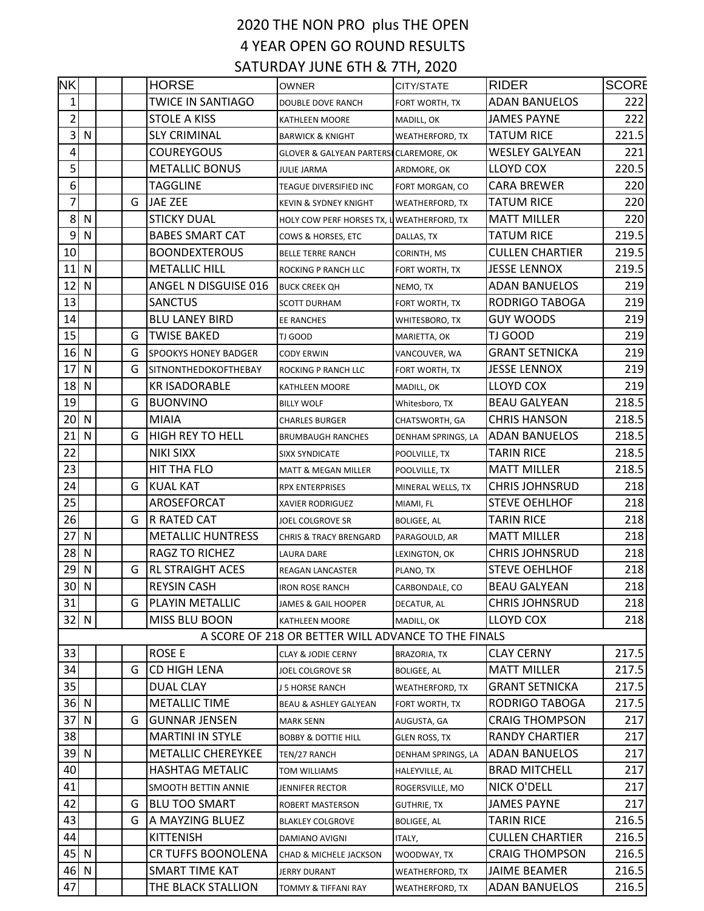## 2020 THE NON PRO plus THE OPEN 4 YEAR OPEN GO ROUND RESULTS SATURDAY JUNE 6TH & 7TH, 2020

| NK              |              |   | <b>HORSE</b>                | <b>OWNER</b>                                        | CITY/STATE             | <b>RIDER</b>           | <b>SCORE</b> |
|-----------------|--------------|---|-----------------------------|-----------------------------------------------------|------------------------|------------------------|--------------|
| 1               |              |   | <b>TWICE IN SANTIAGO</b>    | DOUBLE DOVE RANCH                                   | FORT WORTH, TX         | <b>ADAN BANUELOS</b>   | 222          |
| $\overline{2}$  |              |   | <b>STOLE A KISS</b>         | <b>KATHLEEN MOORE</b>                               | MADILL, OK             | <b>JAMES PAYNE</b>     | 222          |
| 3               | N            |   | <b>SLY CRIMINAL</b>         | <b>BARWICK &amp; KNIGHT</b>                         | <b>WEATHERFORD, TX</b> | <b>TATUM RICE</b>      | 221.5        |
| 4               |              |   | COUREYGOUS                  | GLOVER & GALYEAN PARTERSI CLAREMORE, OK             |                        | <b>WESLEY GALYEAN</b>  | 221          |
| 5               |              |   | <b>METALLIC BONUS</b>       | JULIE JARMA                                         | ARDMORE, OK            | <b>LLOYD COX</b>       | 220.5        |
| 6               |              |   | <b>TAGGLINE</b>             | TEAGUE DIVERSIFIED INC                              | FORT MORGAN, CO        | <b>CARA BREWER</b>     | 220          |
| 7               |              | G | <b>JAE ZEE</b>              | <b>KEVIN &amp; SYDNEY KNIGHT</b>                    | <b>WEATHERFORD, TX</b> | <b>TATUM RICE</b>      | 220          |
| 8               | N            |   | <b>STICKY DUAL</b>          | HOLY COW PERF HORSES TX, L WEATHERFORD, TX          |                        | <b>MATT MILLER</b>     | 220          |
| 9               | N            |   | <b>BABES SMART CAT</b>      | COWS & HORSES, ETC                                  | DALLAS, TX             | <b>TATUM RICE</b>      | 219.5        |
| 10              |              |   | <b>BOONDEXTEROUS</b>        | <b>BELLE TERRE RANCH</b>                            | CORINTH, MS            | <b>CULLEN CHARTIER</b> | 219.5        |
| 11              | N            |   | <b>METALLIC HILL</b>        | ROCKING P RANCH LLC                                 | FORT WORTH, TX         | <b>JESSE LENNOX</b>    | 219.5        |
| 12              | $\mathsf{N}$ |   | ANGEL N DISGUISE 016        | <b>BUCK CREEK QH</b>                                | NEMO, TX               | <b>ADAN BANUELOS</b>   | 219          |
| 13              |              |   | <b>SANCTUS</b>              | SCOTT DURHAM                                        | FORT WORTH, TX         | RODRIGO TABOGA         | 219          |
| 14              |              |   | <b>BLU LANEY BIRD</b>       | <b>EE RANCHES</b>                                   | WHITESBORO, TX         | <b>GUY WOODS</b>       | 219          |
| 15              |              | G | <b>TWISE BAKED</b>          | TJ GOOD                                             | MARIETTA, OK           | TJ GOOD                | 219          |
| 16              | N            | G | <b>SPOOKYS HONEY BADGER</b> | <b>CODY ERWIN</b>                                   | VANCOUVER, WA          | <b>GRANT SETNICKA</b>  | 219          |
| 17              | N            | G | <b>SITNONTHEDOKOFTHEBAY</b> | ROCKING P RANCH LLC                                 | <b>FORT WORTH, TX</b>  | <b>JESSE LENNOX</b>    | 219          |
| 18              | N            |   | <b>KR ISADORABLE</b>        | KATHLEEN MOORE                                      | MADILL, OK             | LLOYD COX              | 219          |
| 19              |              | G | <b>BUONVINO</b>             | <b>BILLY WOLF</b>                                   | Whitesboro, TX         | <b>BEAU GALYEAN</b>    | 218.5        |
| 20              | $\mathsf{N}$ |   | <b>MIAIA</b>                | <b>CHARLES BURGER</b>                               | CHATSWORTH, GA         | <b>CHRIS HANSON</b>    | 218.5        |
| 21              | N            | G | <b>HIGH REY TO HELL</b>     | <b>BRUMBAUGH RANCHES</b>                            | DENHAM SPRINGS, LA     | <b>ADAN BANUELOS</b>   | 218.5        |
| 22              |              |   | <b>NIKI SIXX</b>            | <b>SIXX SYNDICATE</b>                               | POOLVILLE, TX          | <b>TARIN RICE</b>      | 218.5        |
| 23              |              |   | HIT THA FLO                 | MATT & MEGAN MILLER                                 | POOLVILLE, TX          | <b>MATT MILLER</b>     | 218.5        |
| 24              |              | G | <b>KUAL KAT</b>             | <b>RPX ENTERPRISES</b>                              | MINERAL WELLS, TX      | <b>CHRIS JOHNSRUD</b>  | 218          |
| 25              |              |   | AROSEFORCAT                 | <b>XAVIER RODRIGUEZ</b>                             | MIAMI, FL              | <b>STEVE OEHLHOF</b>   | 218          |
| 26              |              | G | <b>R RATED CAT</b>          | JOEL COLGROVE SR                                    | <b>BOLIGEE, AL</b>     | <b>TARIN RICE</b>      | 218          |
| 27              | $\mathsf{N}$ |   | <b>METALLIC HUNTRESS</b>    | <b>CHRIS &amp; TRACY BRENGARD</b>                   | PARAGOULD, AR          | <b>MATT MILLER</b>     | 218          |
| 28              | N            |   | RAGZ TO RICHEZ              | <b>LAURA DARE</b>                                   | LEXINGTON, OK          | <b>CHRIS JOHNSRUD</b>  | 218          |
| 29              | $\mathsf{N}$ | G | <b>RL STRAIGHT ACES</b>     | REAGAN LANCASTER                                    | PLANO, TX              | <b>STEVE OEHLHOF</b>   | 218          |
| 30 <sup>1</sup> | $\mathsf{N}$ |   | <b>REYSIN CASH</b>          | <b>IRON ROSE RANCH</b>                              | CARBONDALE, CO         | <b>BEAU GALYEAN</b>    | 218          |
| 31              |              | G | PLAYIN METALLIC             | JAMES & GAIL HOOPER                                 | DECATUR, AL            | <b>CHRIS JOHNSRUD</b>  | 218          |
| 32              | $\mathsf{N}$ |   | MISS BLU BOON               | KATHLEEN MOORE                                      | MADILL, OK             | LLOYD COX              | 218          |
|                 |              |   |                             | A SCORE OF 218 OR BETTER WILL ADVANCE TO THE FINALS |                        |                        |              |
| 33              |              |   | <b>ROSE E</b>               | <b>CLAY &amp; JODIE CERNY</b>                       | <b>BRAZORIA, TX</b>    | <b>CLAY CERNY</b>      | 217.5        |
| 34              |              | G | CD HIGH LENA                | JOEL COLGROVE SR                                    | <b>BOLIGEE, AL</b>     | <b>MATT MILLER</b>     | 217.5        |
| 35              |              |   | <b>DUAL CLAY</b>            | J 5 HORSE RANCH                                     | WEATHERFORD, TX        | <b>GRANT SETNICKA</b>  | 217.5        |
| 36              | $\mathsf{N}$ |   | <b>METALLIC TIME</b>        | BEAU & ASHLEY GALYEAN                               | FORT WORTH, TX         | <b>RODRIGO TABOGA</b>  | 217.5        |
| 37              | ${\sf N}$    | G | <b>GUNNAR JENSEN</b>        | <b>MARK SENN</b>                                    | AUGUSTA, GA            | <b>CRAIG THOMPSON</b>  | 217          |
| 38              |              |   | <b>MARTINI IN STYLE</b>     | <b>BOBBY &amp; DOTTIE HILL</b>                      | <b>GLEN ROSS, TX</b>   | <b>RANDY CHARTIER</b>  | 217          |
| 39              | N            |   | <b>METALLIC CHEREYKEE</b>   | TEN/27 RANCH                                        | DENHAM SPRINGS, LA     | <b>ADAN BANUELOS</b>   | 217          |
| 40              |              |   | <b>HASHTAG METALIC</b>      | TOM WILLIAMS                                        | HALEYVILLE, AL         | <b>BRAD MITCHELL</b>   | 217          |
| 41              |              |   | SMOOTH BETTIN ANNIE         | JENNIFER RECTOR                                     | ROGERSVILLE, MO        | NICK O'DELL            | 217          |
| 42              |              | G | <b>BLU TOO SMART</b>        | ROBERT MASTERSON                                    | <b>GUTHRIE, TX</b>     | <b>JAMES PAYNE</b>     | 217          |
| 43              |              | G | A MAYZING BLUEZ             | <b>BLAKLEY COLGROVE</b>                             | <b>BOLIGEE, AL</b>     | <b>TARIN RICE</b>      | 216.5        |
| 44              |              |   | <b>KITTENISH</b>            | DAMIANO AVIGNI                                      | ITALY,                 | <b>CULLEN CHARTIER</b> | 216.5        |
| 45              | $\mathsf{N}$ |   | <b>CR TUFFS BOONOLENA</b>   | CHAD & MICHELE JACKSON                              | WOODWAY, TX            | <b>CRAIG THOMPSON</b>  | 216.5        |
| 46              | N            |   | SMART TIME KAT              | JERRY DURANT                                        | <b>WEATHERFORD, TX</b> | JAIME BEAMER           | 216.5        |
| 47              |              |   | THE BLACK STALLION          | TOMMY & TIFFANI RAY                                 | WEATHERFORD, TX        | <b>ADAN BANUELOS</b>   | 216.5        |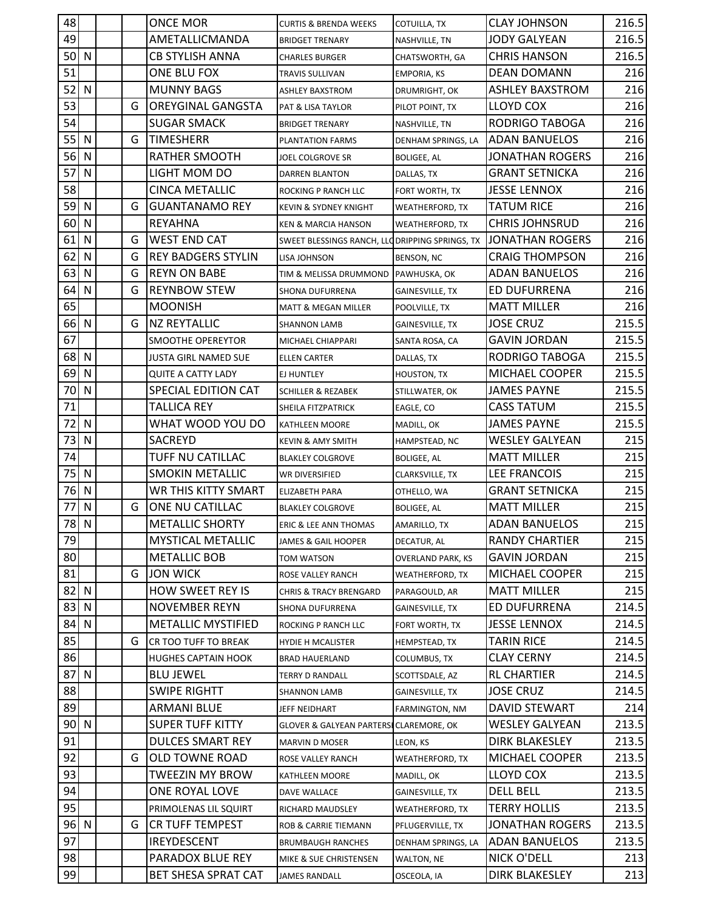| 48     |              |   | ONCE MOR                   | <b>CURTIS &amp; BRENDA WEEKS</b>               | COTUILLA, TX             | <b>CLAY JOHNSON</b>    | 216.5 |
|--------|--------------|---|----------------------------|------------------------------------------------|--------------------------|------------------------|-------|
| 49     |              |   | AMETALLICMANDA             | BRIDGET TRENARY                                | NASHVILLE, TN            | <b>JODY GALYEAN</b>    | 216.5 |
| 50     | N            |   | <b>CB STYLISH ANNA</b>     | CHARLES BURGER                                 | CHATSWORTH, GA           | <b>CHRIS HANSON</b>    | 216.5 |
| 51     |              |   | ONE BLU FOX                | TRAVIS SULLIVAN                                | <b>EMPORIA, KS</b>       | <b>DEAN DOMANN</b>     | 216   |
| 52     | N            |   | <b>MUNNY BAGS</b>          | ASHLEY BAXSTROM                                | DRUMRIGHT, OK            | <b>ASHLEY BAXSTROM</b> | 216   |
| 53     |              | G | OREYGINAL GANGSTA          | PAT & LISA TAYLOR                              | PILOT POINT, TX          | LLOYD COX              | 216   |
| 54     |              |   | <b>SUGAR SMACK</b>         | <b>BRIDGET TRENARY</b>                         | NASHVILLE, TN            | <b>RODRIGO TABOGA</b>  | 216   |
| 55     | N            | G | <b>TIMESHERR</b>           | PLANTATION FARMS                               | DENHAM SPRINGS, LA       | <b>ADAN BANUELOS</b>   | 216   |
| 56     | N            |   | RATHER SMOOTH              | JOEL COLGROVE SR                               | <b>BOLIGEE, AL</b>       | JONATHAN ROGERS        | 216   |
| 57     | N            |   | LIGHT MOM DO               | DARREN BLANTON                                 | DALLAS, TX               | <b>GRANT SETNICKA</b>  | 216   |
| 58     |              |   | <b>CINCA METALLIC</b>      | ROCKING P RANCH LLC                            | FORT WORTH, TX           | <b>JESSE LENNOX</b>    | 216   |
| 59     | N            | G | <b>GUANTANAMO REY</b>      | KEVIN & SYDNEY KNIGHT                          | <b>WEATHERFORD, TX</b>   | <b>TATUM RICE</b>      | 216   |
| 60     | N            |   | <b>REYAHNA</b>             | <b>KEN &amp; MARCIA HANSON</b>                 | <b>WEATHERFORD, TX</b>   | <b>CHRIS JOHNSRUD</b>  | 216   |
| 61     | N            | G | <b>WEST END CAT</b>        | SWEET BLESSINGS RANCH, LLODRIPPING SPRINGS, TX |                          | <b>JONATHAN ROGERS</b> | 216   |
| 62     | N            | G | <b>REY BADGERS STYLIN</b>  | LISA JOHNSON                                   | BENSON, NC               | <b>CRAIG THOMPSON</b>  | 216   |
| 63     | N            | G | <b>REYN ON BABE</b>        | TIM & MELISSA DRUMMOND PAWHUSKA, OK            |                          | <b>ADAN BANUELOS</b>   | 216   |
| 64     | N            | G | <b>REYNBOW STEW</b>        | SHONA DUFURRENA                                | GAINESVILLE, TX          | ED DUFURRENA           | 216   |
| 65     |              |   | <b>MOONISH</b>             | MATT & MEGAN MILLER                            | POOLVILLE, TX            | <b>MATT MILLER</b>     | 216   |
| 66 N   |              | G | <b>NZ REYTALLIC</b>        | <b>SHANNON LAMB</b>                            | GAINESVILLE, TX          | JOSE CRUZ              | 215.5 |
| 67     |              |   | SMOOTHE OPEREYTOR          | MICHAEL CHIAPPARI                              | SANTA ROSA, CA           | <b>GAVIN JORDAN</b>    | 215.5 |
| 68     | N            |   | JUSTA GIRL NAMED SUE       | ELLEN CARTER                                   | DALLAS, TX               | RODRIGO TABOGA         | 215.5 |
| 69     | N            |   | <b>QUITE A CATTY LADY</b>  | EJ HUNTLEY                                     | <b>HOUSTON, TX</b>       | MICHAEL COOPER         | 215.5 |
| 70     | N            |   | SPECIAL EDITION CAT        | SCHILLER & REZABEK                             | STILLWATER, OK           | <b>JAMES PAYNE</b>     | 215.5 |
| 71     |              |   | TALLICA REY                | SHEILA FITZPATRICK                             | EAGLE, CO                | <b>CASS TATUM</b>      | 215.5 |
| 72     | N            |   | WHAT WOOD YOU DO           | KATHLEEN MOORE                                 | MADILL, OK               | <b>JAMES PAYNE</b>     | 215.5 |
| 73     | $\mathsf{N}$ |   | <b>SACREYD</b>             | KEVIN & AMY SMITH                              | HAMPSTEAD, NC            | <b>WESLEY GALYEAN</b>  | 215   |
| 74     |              |   | TUFF NU CATILLAC           | <b>BLAKLEY COLGROVE</b>                        | <b>BOLIGEE, AL</b>       | <b>MATT MILLER</b>     | 215   |
| 75     | N            |   | <b>SMOKIN METALLIC</b>     | WR DIVERSIFIED                                 | CLARKSVILLE, TX          | <b>LEE FRANCOIS</b>    | 215   |
| 76     | $\mathsf{N}$ |   | <b>WR THIS KITTY SMART</b> | ELIZABETH PARA                                 | OTHELLO, WA              | <b>GRANT SETNICKA</b>  | 215   |
| 77     | N            | G | ONE NU CATILLAC            | <b>BLAKLEY COLGROVE</b>                        | <b>BOLIGEE, AL</b>       | <b>MATT MILLER</b>     | 215   |
| 78 N   |              |   | <b>METALLIC SHORTY</b>     | ERIC & LEE ANN THOMAS                          | AMARILLO, TX             | <b>ADAN BANUELOS</b>   | 215   |
| 79     |              |   | <b>MYSTICAL METALLIC</b>   | JAMES & GAIL HOOPER                            | DECATUR, AL              | <b>RANDY CHARTIER</b>  | 215   |
| 80     |              |   | <b>METALLIC BOB</b>        | TOM WATSON                                     | <b>OVERLAND PARK, KS</b> | <b>GAVIN JORDAN</b>    | 215   |
| 81     |              | G | <b>JON WICK</b>            | ROSE VALLEY RANCH                              | <b>WEATHERFORD, TX</b>   | MICHAEL COOPER         | 215   |
| 82     | N            |   | <b>HOW SWEET REY IS</b>    | CHRIS & TRACY BRENGARD                         | PARAGOULD, AR            | <b>MATT MILLER</b>     | 215   |
| 83     | N            |   | <b>NOVEMBER REYN</b>       | SHONA DUFURRENA                                | GAINESVILLE, TX          | ED DUFURRENA           | 214.5 |
| 84     | N            |   | <b>METALLIC MYSTIFIED</b>  | ROCKING P RANCH LLC                            | FORT WORTH, TX           | <b>JESSE LENNOX</b>    | 214.5 |
| 85     |              | G | CR TOO TUFF TO BREAK       | <b>HYDIE H MCALISTER</b>                       | HEMPSTEAD, TX            | <b>TARIN RICE</b>      | 214.5 |
| 86     |              |   | <b>HUGHES CAPTAIN HOOK</b> | <b>BRAD HAUERLAND</b>                          | COLUMBUS, TX             | <b>CLAY CERNY</b>      | 214.5 |
| 87     | N            |   | <b>BLU JEWEL</b>           | TERRY D RANDALL                                | SCOTTSDALE, AZ           | <b>RL CHARTIER</b>     | 214.5 |
| 88     |              |   | <b>SWIPE RIGHTT</b>        | SHANNON LAMB                                   | <b>GAINESVILLE, TX</b>   | JOSE CRUZ              | 214.5 |
| 89     |              |   | <b>ARMANI BLUE</b>         | JEFF NEIDHART                                  | FARMINGTON, NM           | <b>DAVID STEWART</b>   | 214   |
| $90$ N |              |   | <b>SUPER TUFF KITTY</b>    | GLOVER & GALYEAN PARTERSI CLAREMORE, OK        |                          | WESLEY GALYEAN         | 213.5 |
| 91     |              |   | <b>DULCES SMART REY</b>    | <b>MARVIN D MOSER</b>                          | LEON, KS                 | <b>DIRK BLAKESLEY</b>  | 213.5 |
| 92     |              | G | OLD TOWNE ROAD             | ROSE VALLEY RANCH                              | WEATHERFORD, TX          | MICHAEL COOPER         | 213.5 |
| 93     |              |   | TWEEZIN MY BROW            | KATHLEEN MOORE                                 | MADILL, OK               | LLOYD COX              | 213.5 |
| 94     |              |   | ONE ROYAL LOVE             | DAVE WALLACE                                   | GAINESVILLE, TX          | <b>DELL BELL</b>       | 213.5 |
| 95     |              |   | PRIMOLENAS LIL SQUIRT      | RICHARD MAUDSLEY                               | <b>WEATHERFORD, TX</b>   | TERRY HOLLIS           | 213.5 |
| 96 N   |              | G | <b>CR TUFF TEMPEST</b>     | ROB & CARRIE TIEMANN                           | PFLUGERVILLE, TX         | <b>JONATHAN ROGERS</b> | 213.5 |
| 97     |              |   | <b>IREYDESCENT</b>         | BRUMBAUGH RANCHES                              | DENHAM SPRINGS, LA       | <b>ADAN BANUELOS</b>   | 213.5 |
| 98     |              |   | PARADOX BLUE REY           | MIKE & SUE CHRISTENSEN                         | WALTON, NE               | <b>NICK O'DELL</b>     | 213   |
| 99     |              |   | BET SHESA SPRAT CAT        | JAMES RANDALL                                  | OSCEOLA, IA              | <b>DIRK BLAKESLEY</b>  | 213   |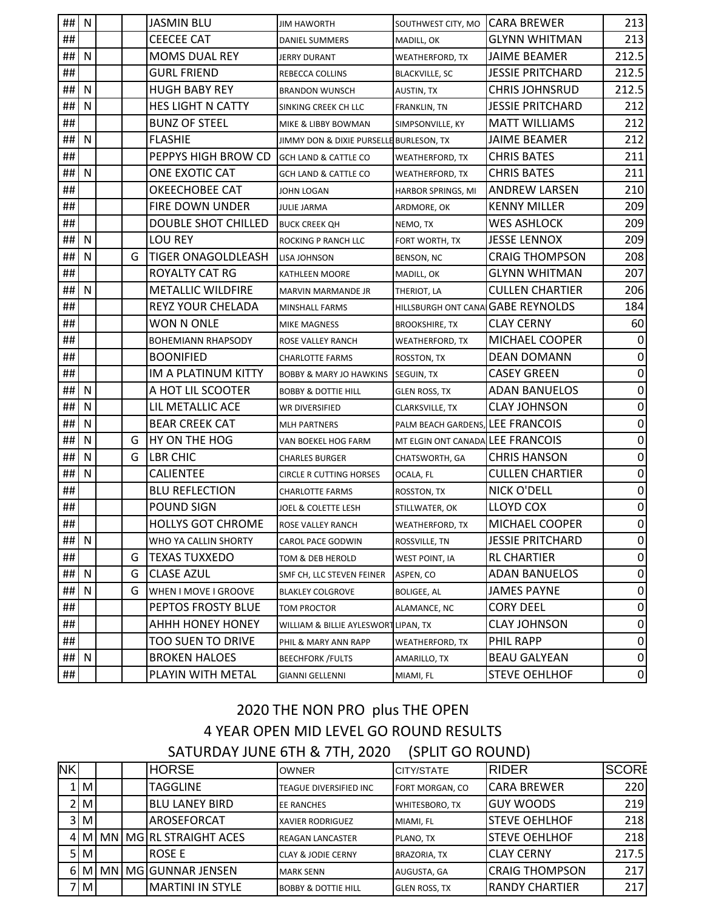| ##               | N         |   | JASMIN BLU                 | <b>JIM HAWORTH</b>                      | SOUTHWEST CITY, MO                | <b>CARA BREWER</b>      | 213              |
|------------------|-----------|---|----------------------------|-----------------------------------------|-----------------------------------|-------------------------|------------------|
| ##               |           |   | <b>CEECEE CAT</b>          | <b>DANIEL SUMMERS</b>                   | MADILL, OK                        | <b>GLYNN WHITMAN</b>    | 213              |
| ##               | N         |   | <b>MOMS DUAL REY</b>       | <b>JERRY DURANT</b>                     | WEATHERFORD, TX                   | <b>JAIME BEAMER</b>     | 212.5            |
| ##               |           |   | <b>GURL FRIEND</b>         | REBECCA COLLINS                         | <b>BLACKVILLE, SC</b>             | <b>JESSIE PRITCHARD</b> | 212.5            |
| ##               | N         |   | <b>HUGH BABY REY</b>       | <b>BRANDON WUNSCH</b>                   | AUSTIN, TX                        | <b>CHRIS JOHNSRUD</b>   | 212.5            |
| ##               | N         |   | HES LIGHT N CATTY          | SINKING CREEK CH LLC                    | FRANKLIN, TN                      | <b>JESSIE PRITCHARD</b> | 212              |
| ##               |           |   | <b>BUNZ OF STEEL</b>       | MIKE & LIBBY BOWMAN                     | SIMPSONVILLE, KY                  | <b>MATT WILLIAMS</b>    | 212              |
| ##               | N         |   | <b>FLASHIE</b>             | JIMMY DON & DIXIE PURSELLE BURLESON, TX |                                   | <b>JAIME BEAMER</b>     | 212              |
| ##               |           |   | PEPPYS HIGH BROW CD        | <b>GCH LAND &amp; CATTLE CO</b>         | <b>WEATHERFORD, TX</b>            | <b>CHRIS BATES</b>      | 211              |
| ##               | N         |   | ONE EXOTIC CAT             | GCH LAND & CATTLE CO                    | <b>WEATHERFORD, TX</b>            | <b>CHRIS BATES</b>      | 211              |
| ##               |           |   | OKEECHOBEE CAT             | <b>JOHN LOGAN</b>                       | HARBOR SPRINGS, MI                | <b>ANDREW LARSEN</b>    | 210              |
| ##               |           |   | FIRE DOWN UNDER            | JULIE JARMA                             | ARDMORE, OK                       | <b>KENNY MILLER</b>     | 209              |
| ##               |           |   | <b>DOUBLE SHOT CHILLED</b> | <b>BUCK CREEK QH</b>                    | NEMO, TX                          | <b>WES ASHLOCK</b>      | 209              |
| ##               | N         |   | <b>LOU REY</b>             | ROCKING P RANCH LLC                     | FORT WORTH, TX                    | <b>JESSE LENNOX</b>     | 209              |
| ##               | N         | G | <b>TIGER ONAGOLDLEASH</b>  | <b>LISA JOHNSON</b>                     | <b>BENSON, NC</b>                 | <b>CRAIG THOMPSON</b>   | 208              |
| ##               |           |   | <b>ROYALTY CAT RG</b>      | <b>KATHLEEN MOORE</b>                   | MADILL, OK                        | <b>GLYNN WHITMAN</b>    | 207              |
| ##               | N         |   | <b>METALLIC WILDFIRE</b>   | MARVIN MARMANDE JR                      | THERIOT, LA                       | <b>CULLEN CHARTIER</b>  | 206              |
| ##               |           |   | <b>REYZ YOUR CHELADA</b>   | <b>MINSHALL FARMS</b>                   | HILLSBURGH ONT CANA GABE REYNOLDS |                         | 184              |
| ##               |           |   | WON N ONLE                 | <b>MIKE MAGNESS</b>                     | <b>BROOKSHIRE, TX</b>             | <b>CLAY CERNY</b>       | 60               |
| ##               |           |   | <b>BOHEMIANN RHAPSODY</b>  | ROSE VALLEY RANCH                       | <b>WEATHERFORD, TX</b>            | MICHAEL COOPER          | 0                |
| ##               |           |   | <b>BOONIFIED</b>           | <b>CHARLOTTE FARMS</b>                  | ROSSTON, TX                       | DEAN DOMANN             | $\mathbf 0$      |
| ##               |           |   | IM A PLATINUM KITTY        | <b>BOBBY &amp; MARY JO HAWKINS</b>      | SEGUIN, TX                        | <b>CASEY GREEN</b>      | $\mathbf 0$      |
| ##               | N         |   | A HOT LIL SCOOTER          | <b>BOBBY &amp; DOTTIE HILL</b>          | <b>GLEN ROSS, TX</b>              | <b>ADAN BANUELOS</b>    | $\pmb{0}$        |
| ##               | N         |   | LIL METALLIC ACE           | <b>WR DIVERSIFIED</b>                   | CLARKSVILLE, TX                   | <b>CLAY JOHNSON</b>     | $\mathbf 0$      |
| ##               | N         |   | <b>BEAR CREEK CAT</b>      | <b>MLH PARTNERS</b>                     | PALM BEACH GARDENS, LEE FRANCOIS  |                         | $\pmb{0}$        |
| ##               | ${\sf N}$ | G | HY ON THE HOG              | VAN BOEKEL HOG FARM                     | MT ELGIN ONT CANADA LEE FRANCOIS  |                         | $\pmb{0}$        |
| ##               | N         | G | <b>LBR CHIC</b>            | <b>CHARLES BURGER</b>                   | CHATSWORTH, GA                    | <b>CHRIS HANSON</b>     | $\mathbf 0$      |
| ##               | N         |   | <b>CALIENTEE</b>           | CIRCLE R CUTTING HORSES                 | OCALA, FL                         | <b>CULLEN CHARTIER</b>  | $\mathbf 0$      |
| ##               |           |   | <b>BLU REFLECTION</b>      | CHARLOTTE FARMS                         | ROSSTON, TX                       | <b>NICK O'DELL</b>      | $\mathbf 0$      |
| ##               |           |   | POUND SIGN                 | JOEL & COLETTE LESH                     | STILLWATER, OK                    | LLOYD COX               | $\pmb{0}$        |
| ##               |           |   | <b>HOLLYS GOT CHROME</b>   | ROSE VALLEY RANCH                       | <b>WEATHERFORD, TX</b>            | <b>MICHAEL COOPER</b>   | $\overline{0}$   |
| ## $\mid N \mid$ |           |   | WHO YA CALLIN SHORTY       | CAROL PACE GODWIN                       | ROSSVILLE, TN                     | <b>JESSIE PRITCHARD</b> | $\pmb{0}$        |
| ##               |           | G | <b>TEXAS TUXXEDO</b>       | TOM & DEB HEROLD                        | <b>WEST POINT, IA</b>             | <b>RL CHARTIER</b>      | 0                |
| ##               | N         | G | <b>CLASE AZUL</b>          | SMF CH, LLC STEVEN FEINER               | ASPEN, CO                         | <b>ADAN BANUELOS</b>    | $\mathbf 0$      |
| ##  N            |           | G | WHEN I MOVE I GROOVE       | <b>BLAKLEY COLGROVE</b>                 | <b>BOLIGEE, AL</b>                | <b>JAMES PAYNE</b>      | $\pmb{0}$        |
| ##               |           |   | PEPTOS FROSTY BLUE         | TOM PROCTOR                             | ALAMANCE, NC                      | <b>CORY DEEL</b>        | $\mathbf 0$      |
| ##               |           |   | AHHH HONEY HONEY           | WILLIAM & BILLIE AYLESWORT LIPAN, TX    |                                   | <b>CLAY JOHNSON</b>     | $\pmb{0}$        |
| ##               |           |   | TOO SUEN TO DRIVE          | PHIL & MARY ANN RAPP                    | WEATHERFORD, TX                   | PHIL RAPP               | $\overline{0}$   |
| ##  N            |           |   | <b>BROKEN HALOES</b>       | <b>BEECHFORK /FULTS</b>                 | AMARILLO, TX                      | <b>BEAU GALYEAN</b>     | 0                |
| ##               |           |   | PLAYIN WITH METAL          | <b>GIANNI GELLENNI</b>                  | MIAMI, FL                         | <b>STEVE OEHLHOF</b>    | $\boldsymbol{0}$ |

## 2020 THE NON PRO plus THE OPEN 4 YEAR OPEN MID LEVEL GO ROUND RESULTS SATURDAY JUNE 6TH & 7TH, 2020 (SPLIT GO ROUND)

| <b>NK</b> |                |  | <b>HORSE</b>            | <b>OWNER</b>                   | <b>CITY/STATE</b>     | <b>RIDER</b>          | <b>SCORE</b> |
|-----------|----------------|--|-------------------------|--------------------------------|-----------------------|-----------------------|--------------|
|           | M <sub>l</sub> |  | <b>TAGGLINE</b>         | <b>TEAGUE DIVERSIFIED INC</b>  | FORT MORGAN, CO       | ICARA BREWER          | 220          |
|           | !MI            |  | <b>BLU LANEY BIRD</b>   | <b>EE RANCHES</b>              | <b>WHITESBORO, TX</b> | <b>GUY WOODS</b>      | 219          |
|           | 3 M            |  | <b>AROSEFORCAT</b>      | <b>XAVIER RODRIGUEZ</b>        | MIAMI, FL             | <b>STEVE OEHLHOF</b>  | 218          |
|           | 4 M            |  | MN MG RL STRAIGHT ACES  | <b>REAGAN LANCASTER</b>        | PLANO, TX             | <b>STEVE OEHLHOF</b>  | 218          |
|           | 5 M            |  | IROSE E                 | <b>CLAY &amp; JODIE CERNY</b>  | <b>BRAZORIA, TX</b>   | <b>ICLAY CERNY</b>    | 217.5        |
|           | 6 MI           |  | MN MGGUNNAR JENSEN      | <b>MARK SENN</b>               | AUGUSTA, GA           | <b>CRAIG THOMPSON</b> | 217          |
|           | 7 M            |  | <b>MARTINI IN STYLE</b> | <b>BOBBY &amp; DOTTIE HILL</b> | <b>GLEN ROSS, TX</b>  | <b>RANDY CHARTIER</b> | 217          |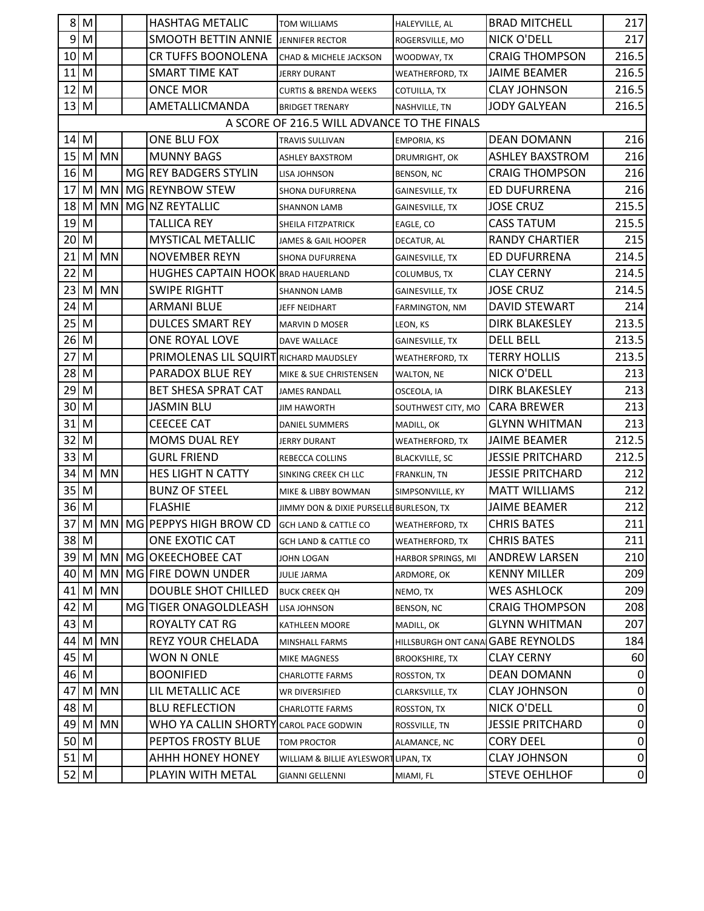| 8 <sup>1</sup> | M    |           | <b>HASHTAG METALIC</b>                    | <b>TOM WILLIAMS</b>                         | HALEYVILLE, AL         | <b>BRAD MITCHELL</b>    | 217         |
|----------------|------|-----------|-------------------------------------------|---------------------------------------------|------------------------|-------------------------|-------------|
|                | 9M   |           | <b>SMOOTH BETTIN ANNIE</b>                | JENNIFER RECTOR                             | ROGERSVILLE, MO        | <b>NICK O'DELL</b>      | 217         |
| 10             | M    |           | <b>CR TUFFS BOONOLENA</b>                 | <b>CHAD &amp; MICHELE JACKSON</b>           | WOODWAY, TX            | <b>CRAIG THOMPSON</b>   | 216.5       |
| 11             | M    |           | <b>SMART TIME KAT</b>                     | <b>JERRY DURANT</b>                         | WEATHERFORD, TX        | <b>JAIME BEAMER</b>     | 216.5       |
| 12 M           |      |           | <b>ONCE MOR</b>                           | <b>CURTIS &amp; BRENDA WEEKS</b>            | COTUILLA, TX           | <b>CLAY JOHNSON</b>     | 216.5       |
| 13 M           |      |           | AMETALLICMANDA                            | <b>BRIDGET TRENARY</b>                      | NASHVILLE, TN          | <b>JODY GALYEAN</b>     | 216.5       |
|                |      |           |                                           | A SCORE OF 216.5 WILL ADVANCE TO THE FINALS |                        |                         |             |
| 14             | M    |           | ONE BLU FOX                               | TRAVIS SULLIVAN                             | <b>EMPORIA, KS</b>     | <b>DEAN DOMANN</b>      | 216         |
| 15             | M    | <b>MN</b> | <b>MUNNY BAGS</b>                         | <b>ASHLEY BAXSTROM</b>                      | DRUMRIGHT, OK          | <b>ASHLEY BAXSTROM</b>  | 216         |
| 16 M           |      |           | MG REY BADGERS STYLIN                     | LISA JOHNSON                                | BENSON, NC             | <b>CRAIG THOMPSON</b>   | 216         |
| 17             | M    | MN        | MG REYNBOW STEW                           | SHONA DUFURRENA                             | <b>GAINESVILLE, TX</b> | ED DUFURRENA            | 216         |
| 18             | M    | MN        | MG NZ REYTALLIC                           | <b>SHANNON LAMB</b>                         | GAINESVILLE, TX        | <b>JOSE CRUZ</b>        | 215.5       |
| 19             | M    |           | <b>TALLICA REY</b>                        | SHEILA FITZPATRICK                          | EAGLE, CO              | <b>CASS TATUM</b>       | 215.5       |
| 20             | M    |           | <b>MYSTICAL METALLIC</b>                  | JAMES & GAIL HOOPER                         | DECATUR, AL            | <b>RANDY CHARTIER</b>   | 215         |
| 21             | M    | <b>MN</b> | <b>NOVEMBER REYN</b>                      | SHONA DUFURRENA                             | GAINESVILLE, TX        | ED DUFURRENA            | 214.5       |
| 22             | M    |           | <b>HUGHES CAPTAIN HOOK BRAD HAUERLAND</b> |                                             | COLUMBUS, TX           | <b>CLAY CERNY</b>       | 214.5       |
| 23             | M    | <b>MN</b> | <b>SWIPE RIGHTT</b>                       | <b>SHANNON LAMB</b>                         | GAINESVILLE, TX        | <b>JOSE CRUZ</b>        | 214.5       |
| 24             | M    |           | <b>ARMANI BLUE</b>                        | JEFF NEIDHART                               | FARMINGTON, NM         | <b>DAVID STEWART</b>    | 214         |
| 25             | M    |           | <b>DULCES SMART REY</b>                   | <b>MARVIN D MOSER</b>                       | LEON, KS               | <b>DIRK BLAKESLEY</b>   | 213.5       |
| 26             | M    |           | ONE ROYAL LOVE                            | DAVE WALLACE                                | <b>GAINESVILLE, TX</b> | <b>DELL BELL</b>        | 213.5       |
| 27             | M    |           | PRIMOLENAS LIL SQUIRT RICHARD MAUDSLEY    |                                             | WEATHERFORD, TX        | <b>TERRY HOLLIS</b>     | 213.5       |
| 28             | M    |           | PARADOX BLUE REY                          | MIKE & SUE CHRISTENSEN                      | WALTON, NE             | <b>NICK O'DELL</b>      | 213         |
| 29             | M    |           | BET SHESA SPRAT CAT                       | <b>JAMES RANDALL</b>                        | OSCEOLA, IA            | <b>DIRK BLAKESLEY</b>   | 213         |
| 30             | M    |           | <b>JASMIN BLU</b>                         | JIM HAWORTH                                 | SOUTHWEST CITY, MO     | <b>CARA BREWER</b>      | 213         |
| 31             | M    |           | <b>CEECEE CAT</b>                         | DANIEL SUMMERS                              | MADILL, OK             | <b>GLYNN WHITMAN</b>    | 213         |
| 32             | M    |           | <b>MOMS DUAL REY</b>                      | <b>JERRY DURANT</b>                         | WEATHERFORD, TX        | <b>JAIME BEAMER</b>     | 212.5       |
| 33             | M    |           | <b>GURL FRIEND</b>                        | REBECCA COLLINS                             | <b>BLACKVILLE, SC</b>  | <b>JESSIE PRITCHARD</b> | 212.5       |
|                | 34 M | MN        | HES LIGHT N CATTY                         | SINKING CREEK CH LLC                        | FRANKLIN, TN           | <b>JESSIE PRITCHARD</b> | 212         |
| 35 M           |      |           | <b>BUNZ OF STEEL</b>                      | MIKE & LIBBY BOWMAN                         | SIMPSONVILLE, KY       | <b>MATT WILLIAMS</b>    | 212         |
| 36 M           |      |           | <b>FLASHIE</b>                            | JIMMY DON & DIXIE PURSELLE BURLESON, TX     |                        | <b>JAIME BEAMER</b>     | 212         |
| 37             |      |           | M MN MG PEPPYS HIGH BROW CD               | <b>GCH LAND &amp; CATTLE CO</b>             | WEATHERFORD, TX        | <b>CHRIS BATES</b>      | 211         |
|                | 38 M |           | ONE EXOTIC CAT                            | <b>GCH LAND &amp; CATTLE CO</b>             | WEATHERFORD, TX        | <b>CHRIS BATES</b>      | 211         |
|                | 39 M | <b>MN</b> | MG OKEECHOBEE CAT                         | JOHN LOGAN                                  | HARBOR SPRINGS, MI     | ANDREW LARSEN           | 210         |
| 40 M           |      | MN        | MG FIRE DOWN UNDER                        | <b>JULIE JARMA</b>                          | ARDMORE, OK            | <b>KENNY MILLER</b>     | 209         |
| 41             | M    | MN        | <b>DOUBLE SHOT CHILLED</b>                | <b>BUCK CREEK QH</b>                        | NEMO, TX               | <b>WES ASHLOCK</b>      | 209         |
| 42             | M    |           | MG TIGER ONAGOLDLEASH                     | LISA JOHNSON                                | BENSON, NC             | <b>CRAIG THOMPSON</b>   | 208         |
| 43 M           |      |           | ROYALTY CAT RG                            | KATHLEEN MOORE                              | MADILL, OK             | <b>GLYNN WHITMAN</b>    | 207         |
| 44             | M    | MN        | REYZ YOUR CHELADA                         | MINSHALL FARMS                              | HILLSBURGH ONT CANA    | <b>GABE REYNOLDS</b>    | 184         |
| 45             | M    |           | WON N ONLE                                | MIKE MAGNESS                                | <b>BROOKSHIRE, TX</b>  | <b>CLAY CERNY</b>       | 60          |
| 46 M           |      |           | <b>BOONIFIED</b>                          | <b>CHARLOTTE FARMS</b>                      | ROSSTON, TX            | <b>DEAN DOMANN</b>      | 0           |
| 47             | M    | <b>MN</b> | LIL METALLIC ACE                          | WR DIVERSIFIED                              | CLARKSVILLE, TX        | <b>CLAY JOHNSON</b>     | 0           |
| 48 M           |      |           | <b>BLU REFLECTION</b>                     | <b>CHARLOTTE FARMS</b>                      | ROSSTON, TX            | NICK O'DELL             | $\pmb{0}$   |
| 49 M           |      | MN        | WHO YA CALLIN SHORTY CAROL PACE GODWIN    |                                             | ROSSVILLE, TN          | <b>JESSIE PRITCHARD</b> | $\mathbf 0$ |
| $50$ M         |      |           | PEPTOS FROSTY BLUE                        | <b>TOM PROCTOR</b>                          | ALAMANCE, NC           | <b>CORY DEEL</b>        | $\pmb{0}$   |
| $51$ M         |      |           | <b>AHHH HONEY HONEY</b>                   | WILLIAM & BILLIE AYLESWORT LIPAN, TX        |                        | <b>CLAY JOHNSON</b>     | 0           |
| $52$ M         |      |           | PLAYIN WITH METAL                         | <b>GIANNI GELLENNI</b>                      | MIAMI, FL              | <b>STEVE OEHLHOF</b>    | $\Omega$    |